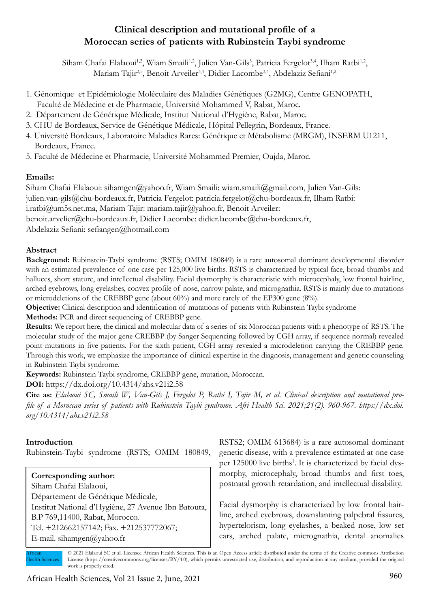# **Clinical description and mutational profile of a Moroccan series of patients with Rubinstein Taybi syndrome**

Siham Chafai Elalaoui<sup>1,2</sup>, Wiam Smaili<sup>1,2</sup>, Julien Van-Gils<sup>3</sup>, Patricia Fergelot<sup>3,4</sup>, Ilham Ratbi<sup>1,2</sup>, Mariam Tajir<sup>2,5</sup>, Benoit Arveiler<sup>3,4</sup>, Didier Lacombe<sup>3,4</sup>, Abdelaziz Sefiani<sup>1,2</sup>

- 1. Génomique et Epidémiologie Moléculaire des Maladies Génétiques (G2MG), Centre GENOPATH, Faculté de Médecine et de Pharmacie, Université Mohammed V, Rabat, Maroc.
- 2. Département de Génétique Médicale, Institut National d'Hygiène, Rabat, Maroc.
- 3. CHU de Bordeaux, Service de Génétique Médicale, Hôpital Pellegrin, Bordeaux, France.
- 4. Université Bordeaux, Laboratoire Maladies Rares: Génétique et Métabolisme (MRGM), INSERM U1211, Bordeaux, France.
- 5. Faculté de Médecine et Pharmacie, Université Mohammed Premier, Oujda, Maroc.

# **Emails:**

Siham Chafai Elalaoui: sihamgen@yahoo.fr, Wiam Smaili: wiam.smaili@gmail.com, Julien Van-Gils: julien.van-gils@chu-bordeaux.fr, Patricia Fergelot: patricia.fergelot@chu-bordeaux.fr, Ilham Ratbi: i.ratbi@um5s.net.ma, Mariam Tajir: mariam.tajir@yahoo.fr, Benoit Arveiler: benoit.arvelier@chu-bordeaux.fr, Didier Lacombe: didier.lacombe@chu-bordeaux.fr, Abdelaziz Sefiani: sefiangen@hotmail.com

# **Abstract**

**Background:** Rubinstein-Taybi syndrome (RSTS; OMIM 180849) is a rare autosomal dominant developmental disorder with an estimated prevalence of one case per 125,000 live births. RSTS is characterized by typical face, broad thumbs and halluces, short stature, and intellectual disability. Facial dysmorphy is characteristic with microcephaly, low frontal hairline, arched eyebrows, long eyelashes, convex profile of nose, narrow palate, and micrognathia. RSTS is mainly due to mutations or microdeletions of the CREBBP gene (about 60%) and more rarely of the EP300 gene (8%).

**Objective:** Clinical description and identification of mutations of patients with Rubinstein Taybi syndrome

**Methods:** PCR and direct sequencing of CREBBP gene.

**Results:** We report here, the clinical and molecular data of a series of six Moroccan patients with a phenotype of RSTS. The molecular study of the major gene CREBBP (by Sanger Sequencing followed by CGH array, if sequence normal) revealed point mutations in five patients. For the sixth patient, CGH array revealed a microdeletion carrying the CREBBP gene. Through this work, we emphasize the importance of clinical expertise in the diagnosis, management and genetic counseling in Rubinstein Taybi syndrome.

**Keywords:** Rubinstein Taybi syndrome, CREBBP gene, mutation, Moroccan.

**DOI:** https://dx.doi.org/10.4314/ahs.v21i2.58

**Cite as:** *Elalaoui SC, Smaili W, Van-Gils J, Fergelot P, Ratbi I, Tajir M, et al. Clinical description and mutational profile of a Moroccan series of patients with Rubinstein Taybi syndrome. Afri Health Sci. 2021;21(2). 960-967. https://dx.doi. org/10.4314/ahs.v21i2.58*

### **Introduction**

Rubinstein-Taybi syndrome (RSTS; OMIM 180849,

### **Corresponding author:**

Siham Chafai Elalaoui, Département de Génétique Médicale, Institut National d'Hygiène, 27 Avenue Ibn Batouta, B.P 769,11400, Rabat, Morocco. Tel. +212662157142; Fax. +212537772067; E-mail. sihamgen@yahoo.fr

RSTS2; OMIM 613684) is a rare autosomal dominant genetic disease, with a prevalence estimated at one case per 125000 live births<sup>1</sup>. It is characterized by facial dysmorphy, microcephaly, broad thumbs and first toes, postnatal growth retardation, and intellectual disability.

Facial dysmorphy is characterized by low frontal hairline, arched eyebrows, downslanting palpebral fissures, hypertelorism, long eyelashes, a beaked nose, low set ears, arched palate, micrognathia, dental anomalies

© 2021 Elalaoui SC et al. Licensee African Health Sciences. This is an Open Access article distributed under the terms of the Creative commons Attribution License (https://creativecommons.org/licenses/BY/4.0), which permits unrestricted use, distribution, and reproduction in any medium, provided the original work is properly cited. African **Iealth Sciences**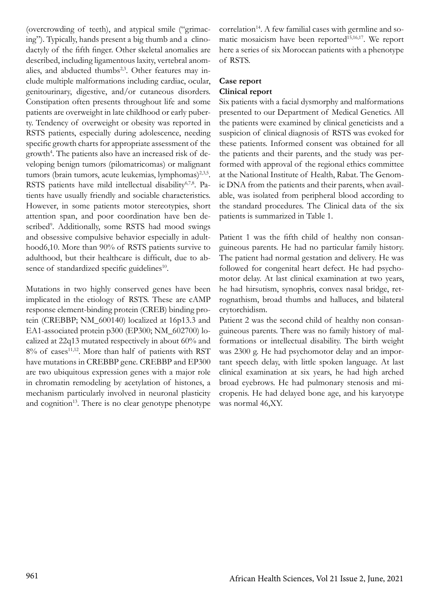(overcrowding of teeth), and atypical smile ("grimacing"). Typically, hands present a big thumb and a clinodactyly of the fifth finger. Other skeletal anomalies are described, including ligamentous laxity, vertebral anomalies, and abducted thumbs $2,3$ . Other features may include multiple malformations including cardiac, ocular, genitourinary, digestive, and/or cutaneous disorders. Constipation often presents throughout life and some patients are overweight in late childhood or early puberty. Tendency of overweight or obesity was reported in RSTS patients, especially during adolescence, needing specific growth charts for appropriate assessment of the growth<sup>4</sup>. The patients also have an increased risk of developing benign tumors (pilomatricomas) or malignant tumors (brain tumors, acute leukemias, lymphomas)<sup>2,3,5</sup>. RSTS patients have mild intellectual disability<sup>6,7,8</sup>. Patients have usually friendly and sociable characteristics. However, in some patients motor stereotypies, short attention span, and poor coordination have ben described<sup>9</sup>. Additionally, some RSTS had mood swings and obsessive compulsive behavior especially in adulthood6,10. More than 90% of RSTS patients survive to adulthood, but their healthcare is difficult, due to absence of standardized specific guidelines<sup>10</sup>.

Mutations in two highly conserved genes have been implicated in the etiology of RSTS. These are cAMP response element-binding protein (CREB) binding protein (CREBBP; NM\_600140) localized at 16p13.3 and EA1-associated protein p300 (EP300; NM\_602700) localized at 22q13 mutated respectively in about 60% and 8% of cases<sup>11,12</sup>. More than half of patients with RST have mutations in CREBBP gene. CREBBP and EP300 are two ubiquitous expression genes with a major role in chromatin remodeling by acetylation of histones, a mechanism particularly involved in neuronal plasticity and cognition<sup>13</sup>. There is no clear genotype phenotype

correlation<sup>14</sup>. A few familial cases with germline and somatic mosaicism have been reported<sup>15,16,17</sup>. We report here a series of six Moroccan patients with a phenotype of RSTS.

# **Case report Clinical report**

Six patients with a facial dysmorphy and malformations presented to our Department of Medical Genetics. All the patients were examined by clinical geneticists and a suspicion of clinical diagnosis of RSTS was evoked for these patients. Informed consent was obtained for all the patients and their parents, and the study was performed with approval of the regional ethics committee at the National Institute of Health, Rabat. The Genomic DNA from the patients and their parents, when available, was isolated from peripheral blood according to the standard procedures. The Clinical data of the six patients is summarized in Table 1.

Patient 1 was the fifth child of healthy non consanguineous parents. He had no particular family history. The patient had normal gestation and delivery. He was followed for congenital heart defect. He had psychomotor delay. At last clinical examination at two years, he had hirsutism, synophris, convex nasal bridge, retrognathism, broad thumbs and halluces, and bilateral crytorchidism.

Patient 2 was the second child of healthy non consanguineous parents. There was no family history of malformations or intellectual disability. The birth weight was 2300 g. He had psychomotor delay and an important speech delay, with little spoken language. At last clinical examination at six years, he had high arched broad eyebrows. He had pulmonary stenosis and micropenis. He had delayed bone age, and his karyotype was normal 46,XY.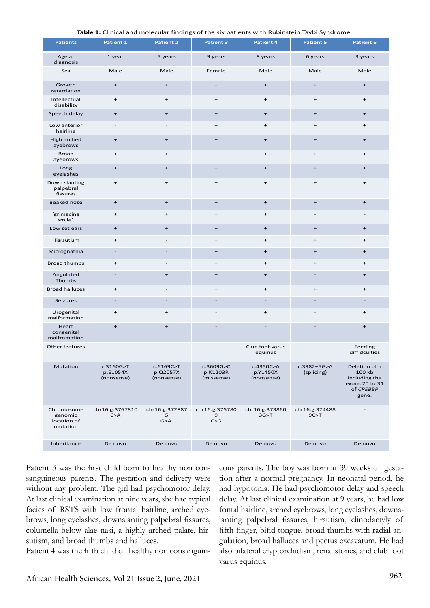| <b>Table 1:</b> Clinical and molecular findings of the six patients with Rubinstein Taybi Syndrome |
|----------------------------------------------------------------------------------------------------|
|----------------------------------------------------------------------------------------------------|

| <b>Patients</b>                                  | <b>Patient 1</b>                    | <b>Patient 2</b>                    | <b>Patient 3</b>                    | <b>Patient 4</b>                    | <b>Patient 5</b>                 | <b>Patient 6</b>                                                                 |
|--------------------------------------------------|-------------------------------------|-------------------------------------|-------------------------------------|-------------------------------------|----------------------------------|----------------------------------------------------------------------------------|
| Age at<br>diagnosis                              | 1 year                              | 5 years                             | 9 years                             | 8 years                             | 6 years                          | 3 years                                                                          |
| Sex                                              | Male                                | Male                                | Female                              | Male                                | Male                             | Male                                                                             |
| Growth<br>retardation                            | $\begin{array}{c} + \end{array}$    | $\begin{array}{c} + \end{array}$    | $\begin{array}{c} + \end{array}$    | $\begin{array}{c} + \end{array}$    | $\begin{array}{c} + \end{array}$ | $\begin{array}{c} + \end{array}$                                                 |
| Intellectual<br>disability                       | $\ddot{}$                           | $\begin{array}{c} + \end{array}$    | $\begin{array}{c} + \end{array}$    | $\begin{array}{c} + \end{array}$    | $\qquad \qquad +$                | $\begin{array}{c} + \end{array}$                                                 |
| Speech delay                                     | $\begin{array}{c} + \end{array}$    | $\begin{array}{c} + \end{array}$    | $\ddot{}$                           | $\begin{array}{c} + \end{array}$    | $\ddot{}$                        | $\ddot{}$                                                                        |
| Low anterior<br>hairline                         |                                     |                                     | $\qquad \qquad +$                   | $\begin{array}{c} + \end{array}$    | $\qquad \qquad +$                | $\begin{array}{c} + \end{array}$                                                 |
| High arched<br>ayebrows                          | $\begin{array}{c} + \end{array}$    | $\begin{array}{c} + \end{array}$    | $\ddot{}$                           | $\begin{array}{c} + \end{array}$    | $\begin{array}{c} + \end{array}$ | $\ddot{}$                                                                        |
| <b>Broad</b><br>ayebrows                         | $\ddot{}$                           | $\qquad \qquad +$                   | $\ddot{}$                           | $\ddot{}$                           | $\ddot{}$                        | $\ddot{}$                                                                        |
| Long<br>eyelashes                                | $\ddot{}$                           | $\ddot{}$                           | $\ddot{}$                           | $\begin{array}{c} + \end{array}$    | $\ddot{}$                        | $+$                                                                              |
| Down slanting<br>palpebral<br>fissures           | $\ddot{}$                           | $\begin{array}{c} + \end{array}$    | $\begin{array}{c} + \end{array}$    | $\begin{array}{c} + \end{array}$    | $\begin{array}{c} + \end{array}$ | $\ddot{}$                                                                        |
| Beaked nose                                      | $\begin{array}{c} + \end{array}$    | $\begin{array}{c} + \end{array}$    | $\ddot{}$                           | $\begin{array}{c} + \end{array}$    | $\begin{array}{c} + \end{array}$ | $\ddot{}$                                                                        |
| 'grimacing<br>smile',                            | $\begin{array}{c} + \end{array}$    | $\begin{array}{c} + \end{array}$    | $\begin{array}{c} + \end{array}$    | $\begin{array}{c} + \end{array}$    |                                  |                                                                                  |
| Low set ears                                     | $\ddot{}$                           | $\ddot{}$                           | $\ddot{}$                           | $\begin{array}{c} + \end{array}$    | $\ddot{}$                        | $\ddot{}$                                                                        |
| Hisrsutism                                       | $\ddot{}$                           |                                     | $\begin{array}{c} + \end{array}$    | $\begin{array}{c} + \end{array}$    | $\ddot{}$                        | $\begin{array}{c} + \end{array}$                                                 |
| Micrognathia                                     |                                     |                                     | $\ddot{}$                           | $\ddot{}$                           | $\ddot{}$                        | $\ddot{}$                                                                        |
| Broad thumbs                                     | $\ddot{}$                           |                                     | $\ddot{}$                           | $\qquad \qquad +$                   | $\ddot{}$                        | $\ddot{}$                                                                        |
| Angulated<br>Thumbs                              |                                     | $\begin{array}{c} + \end{array}$    | $\ddot{}$                           | $\begin{array}{c} + \end{array}$    |                                  | $\ddot{}$                                                                        |
| <b>Broad halluces</b>                            | $\ddot{}$                           |                                     | $\ddot{}$                           | $\ddot{}$                           | $\ddot{}$                        | $\ddot{}$                                                                        |
| Seizures                                         |                                     |                                     |                                     |                                     |                                  |                                                                                  |
| Urogenital<br>malformation                       | $\ddot{}$                           | $\ddot{}$                           |                                     | $\ddot{}$                           |                                  | $\ddot{}$                                                                        |
| Heart<br>congenital<br>malfromation              | $\ddot{}$                           | $\begin{array}{c} + \end{array}$    |                                     | $\overline{a}$                      |                                  | $\begin{array}{c} + \end{array}$                                                 |
| Other features                                   |                                     |                                     |                                     | Club foot varus<br>equinus          |                                  | Feeding<br>diffidculties                                                         |
| Mutation                                         | c.3160G>T<br>p.E1054X<br>(nonsense) | c.6169C>T<br>p.Q2057X<br>(nonsense) | c.3609G>C<br>p.K1203R<br>(missense) | c.4350C>A<br>p.Y1450X<br>(nonsense) | c.3982+5G>A<br>(splicing)        | Deletion of a<br>100 kb<br>including the<br>exons 20 to 31<br>of CREBBP<br>gene. |
| Chromosome<br>genomic<br>location of<br>mutation | chr16:g.3767810<br>C > A            | chr16:g.372887<br>5<br>G > A        | chr16:g.375780<br>9<br>C > G        | chr16:g.373860<br>3G > T            | chr16:g.374488<br>9C > T         |                                                                                  |
| Inheritance                                      | De novo                             | De novo                             | De novo                             | De novo                             | De novo                          | De novo                                                                          |

Patient 3 was the first child born to healthy non consanguineous parents. The gestation and delivery were without any problem. The girl had psychomotor delay. At last clinical examination at nine years, she had typical facies of RSTS with low frontal hairline, arched eyebrows, long eyelashes, downslanting palpebral fissures, columella below alae nasi, a highly arched palate, hirsutism, and broad thumbs and halluces.

Patient 4 was the fifth child of healthy non consanguin-

eous parents. The boy was born at 39 weeks of gestation after a normal pregnancy. In neonatal period, he had hypotonia. He had psychomotor delay and speech delay. At last clinical examination at 9 years, he had low fontal hairline, arched eyebrows, long eyelashes, downslanting palpebral fissures, hirsutism, clinodactyly of fifth finger, bifid tongue, broad thumbs with radial angulation, broad halluces and pectus excavatum. He had also bilateral cryptorchidism, renal stones, and club foot varus equinus.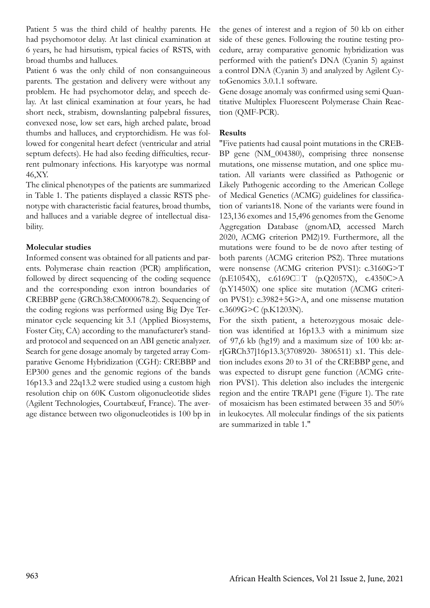Patient 5 was the third child of healthy parents. He had psychomotor delay. At last clinical examination at 6 years, he had hirsutism, typical facies of RSTS, with broad thumbs and halluces.

Patient 6 was the only child of non consanguineous parents. The gestation and delivery were without any problem. He had psychomotor delay, and speech delay. At last clinical examination at four years, he had short neck, strabism, downslanting palpebral fissures, convexed nose, low set ears, high arched palate, broad thumbs and halluces, and cryptorchidism. He was followed for congenital heart defect (ventricular and atrial septum defects). He had also feeding difficulties, recurrent pulmonary infections. His karyotype was normal 46,XY.

The clinical phenotypes of the patients are summarized in Table 1. The patients displayed a classic RSTS phenotype with characteristic facial features, broad thumbs, and halluces and a variable degree of intellectual disability.

# **Molecular studies**

Informed consent was obtained for all patients and parents. Polymerase chain reaction (PCR) amplification, followed by direct sequencing of the coding sequence and the corresponding exon intron boundaries of CREBBP gene (GRCh38:CM000678.2). Sequencing of the coding regions was performed using Big Dye Terminator cycle sequencing kit 3.1 (Applied Biosystems, Foster City, CA) according to the manufacturer's standard protocol and sequenced on an ABI genetic analyzer. Search for gene dosage anomaly by targeted array Comparative Genome Hybridization (CGH): CREBBP and EP300 genes and the genomic regions of the bands 16p13.3 and 22q13.2 were studied using a custom high resolution chip on 60K Custom oligonucleotide slides (Agilent Technologies, Courtabœuf, France). The average distance between two oligonucleotides is 100 bp in

the genes of interest and a region of 50 kb on either side of these genes. Following the routine testing procedure, array comparative genomic hybridization was performed with the patient's DNA (Cyanin 5) against a control DNA (Cyanin 3) and analyzed by Agilent CytoGenomics 3.0.1.1 software.

Gene dosage anomaly was confirmed using semi Quantitative Multiplex Fluorescent Polymerase Chain Reaction (QMF-PCR).

# **Results**

"Five patients had causal point mutations in the CREB-BP gene (NM\_004380), comprising three nonsense mutations, one missense mutation, and one splice mutation. All variants were classified as Pathogenic or Likely Pathogenic according to the American College of Medical Genetics (ACMG) guidelines for classification of variants18. None of the variants were found in 123,136 exomes and 15,496 genomes from the Genome Aggregation Database (gnomAD, accessed March 2020, ACMG criterion PM2)19. Furthermore, all the mutations were found to be de novo after testing of both parents (ACMG criterion PS2). Three mutations were nonsense (ACMG criterion PVS1): c.3160G>T (p.E1054X), c.6169C˃T (p.Q2057X), c.4350C>A (p.Y1450X) one splice site mutation (ACMG criterion PVS1): c.3982+5G>A, and one missense mutation c.3609G>C (p.K1203N).

For the sixth patient, a heterozygous mosaic deletion was identified at 16p13.3 with a minimum size of 97,6 kb (hg19) and a maximum size of 100 kb: arr[GRCh37]16p13.3(3708920- 3806511) x1. This deletion includes exons 20 to 31 of the CREBBP gene, and was expected to disrupt gene function (ACMG criterion PVS1). This deletion also includes the intergenic region and the entire TRAP1 gene (Figure 1). The rate of mosaicism has been estimated between 35 and 50% in leukocytes. All molecular findings of the six patients are summarized in table 1."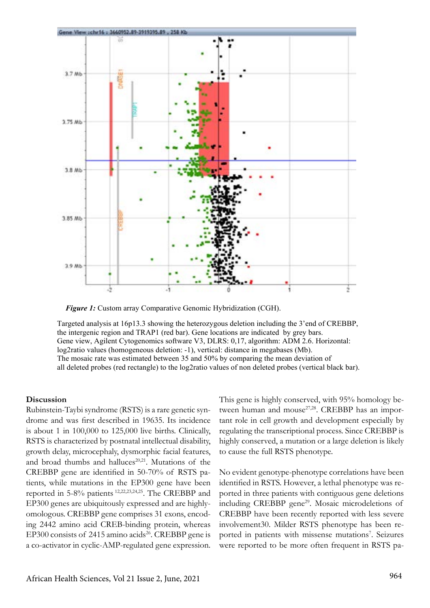

 *Figure 1:* Custom array Comparative Genomic Hybridization (CGH).

Targeted analysis at 16p13.3 showing the heterozygous deletion including the 3'end of CREBBP, the intergenic region and TRAP1 (red bar). Gene locations are indicated by grey bars. Gene view, Agilent Cytogenomics software V3, DLRS: 0,17, algorithm: ADM 2.6. Horizontal: log2ratio values (homogeneous deletion: -1), vertical: distance in megabases (Mb). The mosaic rate was estimated between 35 and 50% by comparing the mean deviation of all deleted probes (red rectangle) to the log2ratio values of non deleted probes (vertical black bar).

#### **Discussion**

Rubinstein-Taybi syndrome (RSTS) is a rare genetic syndrome and was first described in 19635. Its incidence is about 1 in 100,000 to 125,000 live births. Clinically, RSTS is characterized by postnatal intellectual disability, growth delay, microcephaly, dysmorphic facial features, and broad thumbs and halluces<sup>20,21</sup>. Mutations of the CREBBP gene are identified in 50-70% of RSTS patients, while mutations in the EP300 gene have been reported in 5-8% patients 12,22,23,24,25. The CREBBP and EP300 genes are ubiquitously expressed and are highlyomologous. CREBBP gene comprises 31 exons, encoding 2442 amino acid CREB-binding protein, whereas EP300 consists of  $2415$  amino acids<sup>26</sup>. CREBBP gene is a co-activator in cyclic-AMP-regulated gene expression. This gene is highly conserved, with 95% homology between human and mouse<sup>27,28</sup>. CREBBP has an important role in cell growth and development especially by regulating the transcriptional process. Since CREBBP is highly conserved, a mutation or a large deletion is likely to cause the full RSTS phenotype.

No evident genotype-phenotype correlations have been identified in RSTS. However, a lethal phenotype was reported in three patients with contiguous gene deletions including CREBBP gene<sup>29</sup>. Mosaic microdeletions of CREBBP have been recently reported with less severe involvement30. Milder RSTS phenotype has been reported in patients with missense mutations<sup>7</sup>. Seizures were reported to be more often frequent in RSTS pa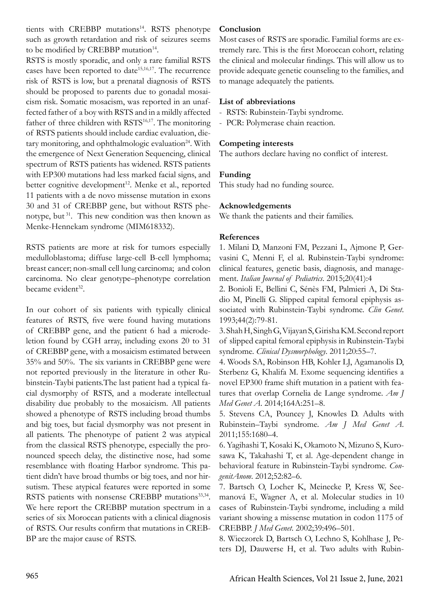tients with CREBBP mutations<sup>14</sup>. RSTS phenotype such as growth retardation and risk of seizures seems to be modified by CREBBP mutation<sup>14</sup>.

RSTS is mostly sporadic, and only a rare familial RSTS cases have been reported to date<sup>15,16,17</sup>. The recurrence risk of RSTS is low, but a prenatal diagnosis of RSTS should be proposed to parents due to gonadal mosaicism risk. Somatic mosacism, was reported in an unaffected father of a boy with RSTS and in a mildly affected father of three children with RSTS<sup>16,17</sup>. The monitoring of RSTS patients should include cardiac evaluation, dietary monitoring, and ophthalmologic evaluation<sup>24</sup>. With the emergence of Next Generation Sequencing, clinical spectrum of RSTS patients has widened. RSTS patients with EP300 mutations had less marked facial signs, and better cognitive development<sup>12</sup>. Menke et al., reported 11 patients with a de novo missense mutation in exons 30 and 31 of CREBBP gene, but without RSTS phenotype, but 31. This new condition was then known as Menke-Hennekam syndrome (MIM618332).

RSTS patients are more at risk for tumors especially medulloblastoma; diffuse large-cell B-cell lymphoma; breast cancer; non-small cell lung carcinoma; and colon carcinoma. No clear genotype–phenotype correlation became evident<sup>32</sup>.

In our cohort of six patients with typically clinical features of RSTS, five were found having mutations of CREBBP gene, and the patient 6 had a microdeletion found by CGH array, including exons 20 to 31 of CREBBP gene, with a mosaicism estimated between 35% and 50%. The six variants in CREBBP gene were not reported previously in the literature in other Rubinstein-Taybi patients.The last patient had a typical facial dysmorphy of RSTS, and a moderate intellectual disability due probably to the mosaicism. All patients showed a phenotype of RSTS including broad thumbs and big toes, but facial dysmorphy was not present in all patients. The phenotype of patient 2 was atypical from the classical RSTS phenotype, especially the pronounced speech delay, the distinctive nose, had some resemblance with floating Harbor syndrome. This patient didn't have broad thumbs or big toes, and nor hirsutism. These atypical features were reported in some RSTS patients with nonsense CREBBP mutations<sup>33,34</sup>. We here report the CREBBP mutation spectrum in a series of six Moroccan patients with a clinical diagnosis of RSTS. Our results confirm that mutations in CREB-BP are the major cause of RSTS.

### **Conclusion**

Most cases of RSTS are sporadic. Familial forms are extremely rare. This is the first Moroccan cohort, relating the clinical and molecular findings. This will allow us to provide adequate genetic counseling to the families, and to manage adequately the patients.

# **List of abbreviations**

- RSTS: Rubinstein-Taybi syndrome.
- PCR: Polymerase chain reaction.

# **Competing interests**

The authors declare having no conflict of interest.

# **Funding**

This study had no funding source.

# **Acknowledgements**

We thank the patients and their families.

# **References**

1. Milani D, Manzoni FM, Pezzani L, Ajmone P, Gervasini C, Menni F, el al. Rubinstein-Taybi syndrome: clinical features, genetic basis, diagnosis, and management. *Italian Journal of Pediatrics*. 2015;20(41):4

2. Bonioli E, Bellini C, Sénès FM, Palmieri A, Di Stadio M, Pinelli G. Slipped capital femoral epiphysis associated with Rubinstein-Taybi syndrome. *Clin Genet*. 1993;44(2):79-81.

3. Shah H, Singh G, Vijayan S, Girisha KM. Second report of slipped capital femoral epiphysis in Rubinstein-Taybi syndrome. *Clinical Dysmorphology*. 2011;20:55–7.

4. Woods SA, Robinson HB, Kohler LJ, Agamanolis D, Sterbenz G, Khalifa M. Exome sequencing identifies a novel EP300 frame shift mutation in a patient with features that overlap Cornelia de Lange syndrome. *Am J Med Genet A*. 2014;164A:251–8.

5. Stevens CA, Pouncey J, Knowles D. Adults with Rubinstein–Taybi syndrome. *Am J Med Genet A*. 2011;155:1680–4.

6. Yagihashi T, Kosaki K, Okamoto N, Mizuno S, Kurosawa K, Takahashi T, et al. Age-dependent change in behavioral feature in Rubinstein-Taybi syndrome. *CongenitAnom*. 2012;52:82–6.

7. Bartsch O, Locher K, Meinecke P, Kress W, Seemanová E, Wagner A, et al. Molecular studies in 10 cases of Rubinstein-Taybi syndrome, including a mild variant showing a missense mutation in codon 1175 of CREBBP. *J Med Genet*. 2002;39:496–501.

8. Wieczorek D, Bartsch O, Lechno S, Kohlhase J, Peters DJ, Dauwerse H, et al. Two adults with Rubin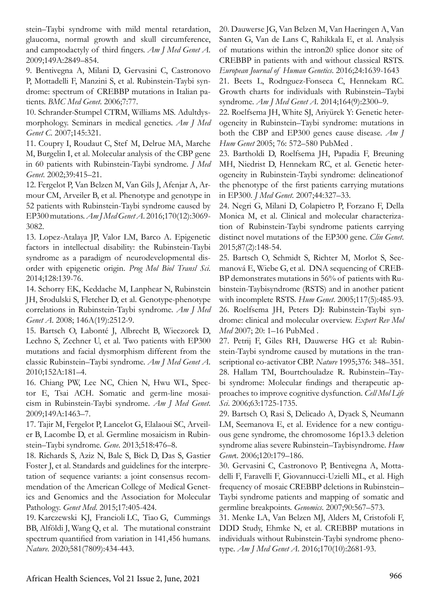stein–Taybi syndrome with mild mental retardation, glaucoma, normal growth and skull circumference, and camptodactyly of third fingers. *Am J Med Genet A*. 2009;149A:2849–854.

9. Bentivegna A, Milani D, Gervasini C, Castronovo P, Mottadelli F, Manzini S, et al. Rubinstein-Taybi syndrome: spectrum of CREBBP mutations in Italian patients. *BMC Med Genet*. 2006;7:77.

10. Schrander-Stumpel CTRM, Williams MS. Adultdysmorphology. Seminars in medical genetics. *Am J Med Genet C*. 2007;145:321.

11. Coupry I, Roudaut C, Stef M, Delrue MA, Marche M, Burgelin I, et al. Molecular analysis of the CBP gene in 60 patients with Rubinstein-Taybi syndrome. *J Med Genet*. 2002;39:415–21.

12. Fergelot P, Van Belzen M, Van Gils J, Afenjar A, Armour CM, Arveiler B, et al. Phenotype and genotype in 52 patients with Rubinstein-Taybi syndrome caused by EP300 mutations. *Am J Med Genet A*. 2016;170(12):3069- 3082.

13. Lopez-Atalaya JP, Valor LM, Barco A. Epigenetic factors in intellectual disability: the Rubinstein-Taybi syndrome as a paradigm of neurodevelopmental disorder with epigenetic origin. *Prog Mol Biol Transl Sci*. 2014;128:139-76.

14. Schorry EK, Keddache M, Lanphear N, Rubinstein JH, Srodulski S, Fletcher D, et al. Genotype-phenotype correlations in Rubinstein-Taybi syndrome. *Am J Med Genet A*. 2008; 146A(19):2512-9.

15. Bartsch O, Labonté J, Albrecht B, Wieczorek D, Lechno S, Zechner U, et al. Two patients with EP300 mutations and facial dysmorphism different from the classic Rubinstein–Taybi syndrome. *Am J Med Genet A*. 2010;152A:181–4.

16. Chiang PW, Lee NC, Chien N, Hwu WL, Spector E, Tsai ACH. Somatic and germ-line mosaicism in Rubinstein-Taybi syndrome. *Am J Med Genet*. 2009;149A:1463–7.

17. Tajir M, Fergelot P, Lancelot G, Elalaoui SC, Arveiler B, Lacombe D, et al. Germline mosaicism in Rubinstein–Taybi syndrome. *Gene*. 2013;518:476–8.

18. Richards S, Aziz N, Bale S, Bick D, Das S, Gastier Foster J, et al. Standards and guidelines for the interpretation of sequence variants: a joint consensus recommendation of the American College of Medical Genetics and Genomics and the Association for Molecular Pathology. *Genet Med*. 2015;17:405-424.

19. Karczewski KJ, Francioli LC, Tiao G, Cummings BB, Alföldi J, Wang Q, et al. The mutational constraint spectrum quantified from variation in 141,456 humans. *Nature*. 2020;581(7809):434-443.

20. Dauwerse JG, Van Belzen M, Van Haeringen A, Van Santen G, Van de Lans C, Rahikkala E, et al. Analysis of mutations within the intron20 splice donor site of CREBBP in patients with and without classical RSTS. *European Journal of Human Genetics*. 2016;24:1639-1643

21. Beets L, Rodrıguez-Fonseca C, Hennekam RC. Growth charts for individuals with Rubinstein–Taybi syndrome. *Am J Med Genet A*. 2014;164(9):2300–9.

22. Roelfsema JH, White SJ, Ariyürek Y: Genetic heterogeneity in Rubinstein–Taybi syndrome: mutations in both the CBP and EP300 genes cause disease. *Am J Hum Genet* 2005; 76: 572–580 PubMed .

23. Bartholdi D, Roelfsema JH, Papadia F, Breuning MH, Niedrist D, Hennekam RC, et al. Genetic heterogeneity in Rubinstein-Taybi syndrome: delineationof the phenotype of the first patients carrying mutations in EP300. *J Med Genet*. 2007;44:327–33.

24. Negri G, Milani D, Colapietro P, Forzano F, Della Monica M, et al. Clinical and molecular characterization of Rubinstein-Taybi syndrome patients carrying distinct novel mutations of the EP300 gene. *Clin Genet*. 2015;87(2):148-54.

25. Bartsch O, Schmidt S, Richter M, Morlot S, Seemanová E, Wiebe G, et al. DNA sequencing of CREB-BP demonstrates mutations in 56% of patients with Rubinstein-Taybisyndrome (RSTS) and in another patient with incomplete RSTS. *Hum Genet*. 2005;117(5):485-93. 26. Roelfsema JH, Peters DJ: Rubinstein-Taybi syndrome: clinical and molecular overview. *Expert Rev Mol Med* 2007; 20: 1–16 PubMed .

27. Petrij F, Giles RH, Dauwerse HG et al: Rubinstein-Taybi syndrome caused by mutations in the transcriptional co-activator CBP. *Nature* 1995;376: 348–351. 28. Hallam TM, Bourtchouladze R. Rubinstein–Taybi syndrome: Molecular findings and therapeutic approaches to improve cognitive dysfunction. *Cell Mol Life Sci*. 2006;63:1725-1735.

29. Bartsch O, Rasi S, Delicado A, Dyack S, Neumann LM, Seemanova E, et al. Evidence for a new contiguous gene syndrome, the chromosome 16p13.3 deletion syndrome alias severe Rubinstein–Taybisyndrome. *Hum Gene*t. 2006;120:179–186.

30. Gervasini C, Castronovo P, Bentivegna A, Mottadelli F, Faravelli F, Giovannucci-Uzielli ML, et al. High frequency of mosaic CREBBP deletions in Rubinstein– Taybi syndrome patients and mapping of somatic and germline breakpoints. *Genomics*. 2007;90:567–573.

31. Menke LA, Van Belzen MJ, Alders M, Cristofoli F, DDD Study, Ehmke N, et al. CREBBP mutations in individuals without Rubinstein-Taybi syndrome phenotype. *Am J Med Genet A*. 2016;170(10):2681-93.